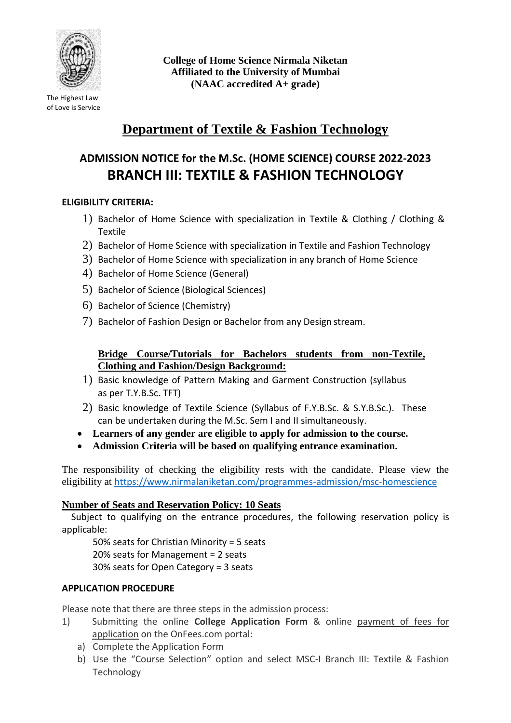

The Highest Law of Love is Service **College of Home Science Nirmala Niketan Affiliated to the University of Mumbai (NAAC accredited A+ grade)**

# **Department of Textile & Fashion Technology**

# **ADMISSION NOTICE for the M.Sc. (HOME SCIENCE) COURSE 2022-2023 BRANCH III: TEXTILE & FASHION TECHNOLOGY**

# **ELIGIBILITY CRITERIA:**

- 1) Bachelor of Home Science with specialization in Textile & Clothing / Clothing & Textile
- 2) Bachelor of Home Science with specialization in Textile and Fashion Technology
- 3) Bachelor of Home Science with specialization in any branch of Home Science
- 4) Bachelor of Home Science (General)
- 5) Bachelor of Science (Biological Sciences)
- 6) Bachelor of Science (Chemistry)
- 7) Bachelor of Fashion Design or Bachelor from any Design stream.

# **Bridge Course/Tutorials for Bachelors students from non-Textile, Clothing and Fashion/Design Background:**

- 1) Basic knowledge of Pattern Making and Garment Construction (syllabus as per T.Y.B.Sc. TFT)
- 2) Basic knowledge of Textile Science (Syllabus of F.Y.B.Sc. & S.Y.B.Sc.). These can be undertaken during the M.Sc. Sem I and II simultaneously.
- **Learners of any gender are eligible to apply for admission to the course.**
- **Admission Criteria will be based on qualifying entrance examination.**

The responsibility of checking the eligibility rests with the candidate. Please view the eligibility at <https://www.nirmalaniketan.com/programmes-admission/msc-homescience>

# **Number of Seats and Reservation Policy: 10 Seats**

Subject to qualifying on the entrance procedures, the following reservation policy is applicable:

50% seats for Christian Minority = 5 seats 20% seats for Management = 2 seats 30% seats for Open Category = 3 seats

# **APPLICATION PROCEDURE**

Please note that there are three steps in the admission process:

- 1) Submitting the online **College Application Form** & online payment of fees for application on the OnFees.com portal:
	- a) Complete the Application Form
	- b) Use the "Course Selection" option and select MSC-I Branch III: Textile & Fashion Technology